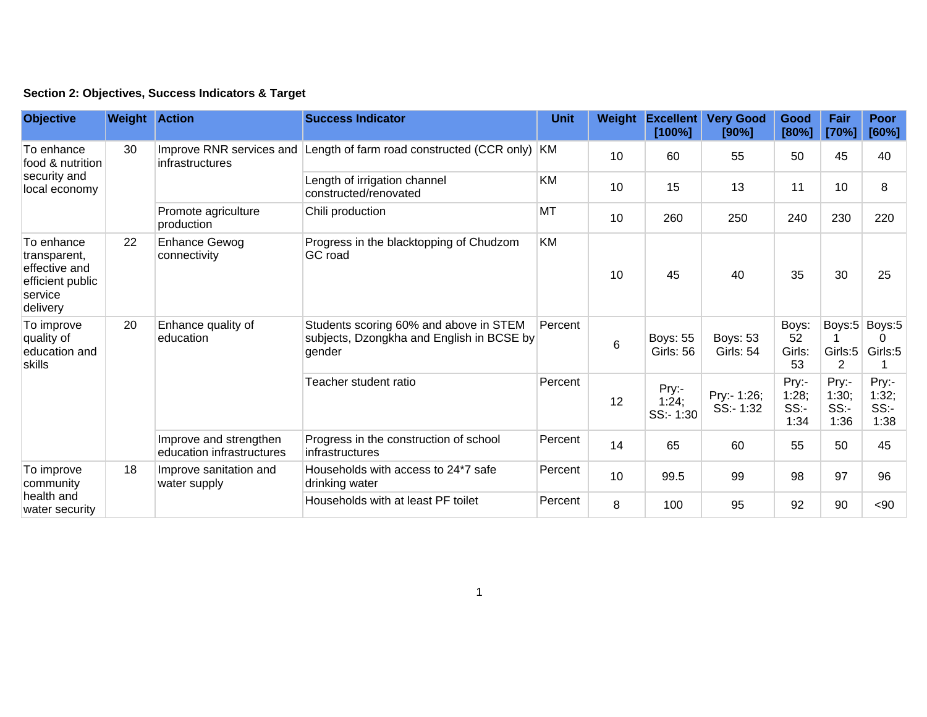|  | Section 2: Objectives, Success Indicators & Target |  |  |  |  |
|--|----------------------------------------------------|--|--|--|--|
|--|----------------------------------------------------|--|--|--|--|

| <b>Objective</b>                                                                       | <b>Weight Action</b> |                                                     | <b>Success Indicator</b>                                                                      | <b>Unit</b> | Weight | <b>Excellent</b><br>[100%]          | <b>Very Good</b><br>[90%]           | Good<br>[80%]                 | Fair<br>[70%]                 | <b>Poor</b><br>[60%]          |
|----------------------------------------------------------------------------------------|----------------------|-----------------------------------------------------|-----------------------------------------------------------------------------------------------|-------------|--------|-------------------------------------|-------------------------------------|-------------------------------|-------------------------------|-------------------------------|
| To enhance<br>food & nutrition<br>security and<br>local economy                        | 30                   | infrastructures                                     | Improve RNR services and Length of farm road constructed (CCR only) KM                        |             | 10     | 60                                  | 55                                  | 50                            | 45                            | 40                            |
|                                                                                        |                      |                                                     | Length of irrigation channel<br>constructed/renovated                                         | <b>KM</b>   | 10     | 15                                  | 13                                  | 11                            | 10                            | 8                             |
|                                                                                        |                      | Promote agriculture<br>production                   | Chili production                                                                              | <b>MT</b>   | 10     | 260                                 | 250                                 | 240                           | 230                           | 220                           |
| To enhance<br>transparent,<br>effective and<br>efficient public<br>service<br>delivery | 22                   | <b>Enhance Gewog</b><br>connectivity                | Progress in the blacktopping of Chudzom<br>GC road                                            | <b>KM</b>   | 10     | 45                                  | 40                                  | 35                            | 30                            | 25                            |
| To improve<br>quality of<br>education and<br>skills                                    | 20                   | Enhance quality of<br>education                     | Students scoring 60% and above in STEM<br>subjects, Dzongkha and English in BCSE by<br>gender | Percent     | 6      | <b>Boys: 55</b><br><b>Girls: 56</b> | <b>Boys: 53</b><br><b>Girls: 54</b> | Boys:<br>52<br>Girls:<br>53   | Girls: $5$<br>2               | Boys:5 Boys:5<br>0<br>Girls:5 |
|                                                                                        |                      |                                                     | Teacher student ratio                                                                         | Percent     | 12     | Pry:-<br>1:24;<br>SS:-1:30          | Pry:- 1:26;<br>$SS - 1:32$          | Pry:-<br>1:28;<br>SS:<br>1:34 | Pry:-<br>1:30;<br>SS:<br>1:36 | Pry:-<br>1:32,<br>SS:<br>1:38 |
|                                                                                        |                      | Improve and strengthen<br>education infrastructures | Progress in the construction of school<br>infrastructures                                     | Percent     | 14     | 65                                  | 60                                  | 55                            | 50                            | 45                            |
| To improve<br>community<br>health and<br>water security                                | 18                   | Improve sanitation and<br>water supply              | Households with access to 24*7 safe<br>drinking water                                         | Percent     | 10     | 99.5                                | 99                                  | 98                            | 97                            | 96                            |
|                                                                                        |                      |                                                     | Households with at least PF toilet                                                            | Percent     | 8      | 100                                 | 95                                  | 92                            | 90                            | <90                           |